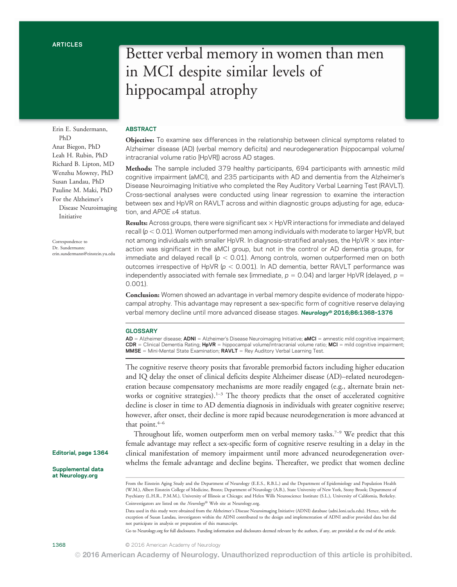Erin E. Sundermann, PhD Anat Biegon, PhD Leah H. Rubin, PhD Richard B. Lipton, MD Wenzhu Mowrey, PhD Susan Landau, PhD Pauline M. Maki, PhD For the Alzheimer's Disease Neuroimaging Initiative

Correspondence to Dr. Sundermann: [erin.sundermann@einstein.yu.edu](mailto:erin.sundermann@einstein.yu.edu)

# Better verbal memory in women than men in MCI despite similar levels of hippocampal atrophy

# ABSTRACT

Objective: To examine sex differences in the relationship between clinical symptoms related to Alzheimer disease (AD) (verbal memory deficits) and neurodegeneration (hippocampal volume/ intracranial volume ratio [HpVR]) across AD stages.

Methods: The sample included 379 healthy participants, 694 participants with amnestic mild cognitive impairment (aMCI), and 235 participants with AD and dementia from the Alzheimer's Disease Neuroimaging Initiative who completed the Rey Auditory Verbal Learning Test (RAVLT). Cross-sectional analyses were conducted using linear regression to examine the interaction between sex and HpVR on RAVLT across and within diagnostic groups adjusting for age, education, and APOE e4 status.

**Results:** Across groups, there were significant sex  $\times$  HpVR interactions for immediate and delayed recall ( $p < 0.01$ ). Women outperformed men among individuals with moderate to larger HpVR, but not among individuals with smaller HpVR. In diagnosis-stratified analyses, the HpVR  $\times$  sex interaction was significant in the aMCI group, but not in the control or AD dementia groups, for immediate and delayed recall ( $p < 0.01$ ). Among controls, women outperformed men on both outcomes irrespective of HpVR ( $p < 0.001$ ). In AD dementia, better RAVLT performance was independently associated with female sex (immediate,  $p = 0.04$ ) and larger HpVR (delayed,  $p =$ 0.001).

Conclusion: Women showed an advantage in verbal memory despite evidence of moderate hippocampal atrophy. This advantage may represent a sex-specific form of cognitive reserve delaying verbal memory decline until more advanced disease stages. Neurology® 2016;86:1368–<sup>1376</sup>

## **GLOSSARY**

AD = Alzheimer disease; ADNI = Alzheimer's Disease Neuroimaging Initiative; aMCI = amnestic mild cognitive impairment;  $CDR =$  Clinical Dementia Rating;  $HpVR =$  hippocampal volume/intracranial volume ratio; MCI = mild cognitive impairment;  $MMSE =$  Mini-Mental State Examination;  $RAVLT =$  Rey Auditory Verbal Learning Test.

The cognitive reserve theory posits that favorable premorbid factors including higher education and IQ delay the onset of clinical deficits despite Alzheimer disease (AD)–related neurodegeneration because compensatory mechanisms are more readily engaged (e.g., alternate brain networks or cognitive strategies).<sup>1-3</sup> The theory predicts that the onset of accelerated cognitive decline is closer in time to AD dementia diagnosis in individuals with greater cognitive reserve; however, after onset, their decline is more rapid because neurodegeneration is more advanced at that point. $4-6$ 

Throughout life, women outperform men on verbal memory tasks.<sup>7-9</sup> We predict that this female advantage may reflect a sex-specific form of cognitive reserve resulting in a delay in the clinical manifestation of memory impairment until more advanced neurodegeneration overwhelms the female advantage and decline begins. Thereafter, we predict that women decline

Editorial, page 1364

Supplemental data at [Neurology.org](http://neurology.org/lookup/doi/10.1212/WNL.0000000000002570)

Go to [Neurology.org](http://neurology.org/lookup/doi/10.1212/WNL.0000000000002570) for full disclosures. Funding information and disclosures deemed relevant by the authors, if any, are provided at the end of the article.

From the Einstein Aging Study and the Department of Neurology (E.E.S., R.B.L.) and the Department of Epidemiology and Population Health (W.M.), Albert Einstein College of Medicine, Bronx; Department of Neurology (A.B.), State University of New York, Stony Brook; Department of Psychiatry (L.H.R., P.M.M.), University of Illinois at Chicago; and Helen Wills Neuroscience Institute (S.L.), University of California, Berkeley. Coinvestigators are listed on the Neurology® Web site at [Neurology.org.](http://neurology.org/lookup/doi/10.1212/WNL.0000000000002570)

Data used in this study were obtained from the Alzheimer's Disease Neuroimaging Initiative (ADNI) database ([adni.loni.ucla.edu\)](http://adni.loni.ucla.edu). Hence, with the exception of Susan Landau, investigators within the ADNI contributed to the design and implementation of ADNI and/or provided data but did not participate in analysis or preparation of this manuscript.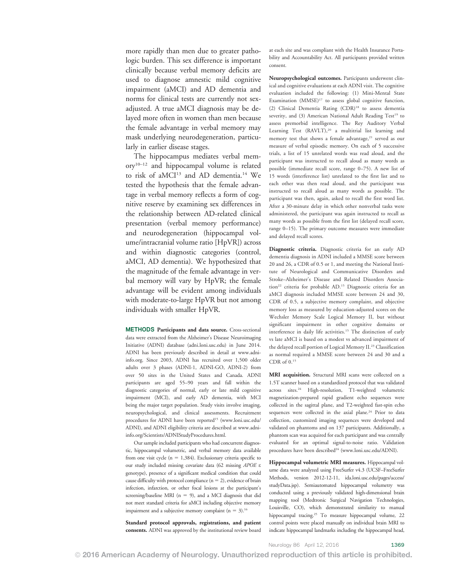more rapidly than men due to greater pathologic burden. This sex difference is important clinically because verbal memory deficits are used to diagnose amnestic mild cognitive impairment (aMCI) and AD dementia and norms for clinical tests are currently not sexadjusted. A true aMCI diagnosis may be delayed more often in women than men because the female advantage in verbal memory may mask underlying neurodegeneration, particularly in earlier disease stages.

The hippocampus mediates verbal memory10–<sup>12</sup> and hippocampal volume is related to risk of aMCI<sup>13</sup> and AD dementia.<sup>14</sup> We tested the hypothesis that the female advantage in verbal memory reflects a form of cognitive reserve by examining sex differences in the relationship between AD-related clinical presentation (verbal memory performance) and neurodegeneration (hippocampal volume/intracranial volume ratio [HpVR]) across and within diagnostic categories (control, aMCI, AD dementia). We hypothesized that the magnitude of the female advantage in verbal memory will vary by HpVR; the female advantage will be evident among individuals with moderate-to-large HpVR but not among individuals with smaller HpVR.

METHODS Participants and data source. Cross-sectional data were extracted from the Alzheimer's Disease Neuroimaging Initiative (ADNI) database ([adni.loni.usc.edu\)](http://adni.loni.usc.edu) in June 2014. ADNI has been previously described in detail at [www.adni](http://www.adni-info.org)[info.org](http://www.adni-info.org). Since 2003, ADNI has recruited over 1,500 older adults over 3 phases (ADNI-1, ADNI-GO, ADNI-2) from over 50 sites in the United States and Canada. ADNI participants are aged 55–90 years and fall within the diagnostic categories of normal, early or late mild cognitive impairment (MCI), and early AD dementia, with MCI being the major target population. Study visits involve imaging, neuropsychological, and clinical assessments. Recruitment procedures for ADNI have been reported<sup>15</sup> ([www.loni.usc.edu/](http://www.loni.usc.edu/ADNI) [ADNI](http://www.loni.usc.edu/ADNI)), and ADNI eligibility criteria are described at [www.adni](http://www.adni-info.org/Scientists/ADNIStudyProcedures.html)[info.org/Scientists/ADNIStudyProcedures.html.](http://www.adni-info.org/Scientists/ADNIStudyProcedures.html)

Our sample included participants who had concurrent diagnostic, hippocampal volumetric, and verbal memory data available from one visit cycle ( $n = 1,384$ ). Exclusionary criteria specific to our study included missing covariate data (62 missing APOE e genotype), presence of a significant medical condition that could cause difficulty with protocol compliance  $(n = 2)$ , evidence of brain infection, infarction, or other focal lesions at the participant's screening/baseline MRI ( $n = 9$ ), and a MCI diagnosis that did not meet standard criteria for aMCI including objective memory impairment and a subjective memory complaint ( $n = 3$ ).<sup>16</sup>

Standard protocol approvals, registrations, and patient consents. ADNI was approved by the institutional review board at each site and was compliant with the Health Insurance Portability and Accountability Act. All participants provided written consent.

Neuropsychological outcomes. Participants underwent clinical and cognitive evaluations at each ADNI visit. The cognitive evaluation included the following: (1) Mini-Mental State Examination  $(MMSE)^{17}$  to assess global cognitive function, (2) Clinical Dementia Rating  $(CDR)^{18}$  to assess dementia severity, and (3) American National Adult Reading Test<sup>19</sup> to assess premorbid intelligence. The Rey Auditory Verbal Learning Test (RAVLT),<sup>20</sup> a multitrial list learning and memory test that shows a female advantage,<sup>21</sup> served as our measure of verbal episodic memory. On each of 5 successive trials, a list of 15 unrelated words was read aloud, and the participant was instructed to recall aloud as many words as possible (immediate recall score, range 0–75). A new list of 15 words (interference list) unrelated to the first list and to each other was then read aloud, and the participant was instructed to recall aloud as many words as possible. The participant was then, again, asked to recall the first word list. After a 30-minute delay in which other nonverbal tasks were administered, the participant was again instructed to recall as many words as possible from the first list (delayed recall score, range 0–15). The primary outcome measures were immediate and delayed recall scores.

Diagnostic criteria. Diagnostic criteria for an early AD dementia diagnosis in ADNI included a MMSE score between 20 and 26, a CDR of 0.5 or 1, and meeting the National Institute of Neurological and Communicative Disorders and Stroke–Alzheimer's Disease and Related Disorders Association<sup>22</sup> criteria for probable AD.<sup>15</sup> Diagnostic criteria for an aMCI diagnosis included MMSE score between 24 and 30, CDR of 0.5, a subjective memory complaint, and objective memory loss as measured by education-adjusted scores on the Wechsler Memory Scale Logical Memory II, but without significant impairment in other cognitive domains or interference in daily life activities.15 The distinction of early vs late aMCI is based on a modest vs advanced impairment of the delayed recall portion of Logical Memory II.<sup>23</sup> Classification as normal required a MMSE score between 24 and 30 and a  $CDR$  of  $0.15$ 

MRI acquisition. Structural MRI scans were collected on a 1.5T scanner based on a standardized protocol that was validated across sites.<sup>24</sup> High-resolution, T1-weighted volumetric magnetization-prepared rapid gradient echo sequences were collected in the sagittal plane, and T2-weighted fast-spin echo sequences were collected in the axial plane.<sup>24</sup> Prior to data collection, customized imaging sequences were developed and validated on phantoms and on 137 participants. Additionally, a phantom scan was acquired for each participant and was centrally evaluated for an optimal signal-to-noise ratio. Validation procedures have been described<sup>24</sup> [\(www.loni.usc.edu/ADNI](http://www.loni.usc.edu/ADNI)).

Hippocampal volumetric MRI measures. Hippocampal volume data were analyzed using FreeSurfer v4.3 (UCSF–FreeSurfer Methods, version 2012-12-11, [ida.loni.usc.edu/pages/access/](http://ida.loni.usc.edu/pages/access/studyData.jsp) [studyData.jsp](http://ida.loni.usc.edu/pages/access/studyData.jsp)). Semiautomated hippocampal volumetry was conducted using a previously validated high-dimensional brain mapping tool (Medtronic Surgical Navigation Technologies, Louisville, CO), which demonstrated similarity to manual hippocampal tracing.<sup>25</sup> To measure hippocampal volume, 22 control points were placed manually on individual brain MRI to indicate hippocampal landmarks including the hippocampal head,

Neurology 86 April 12, 2016 1369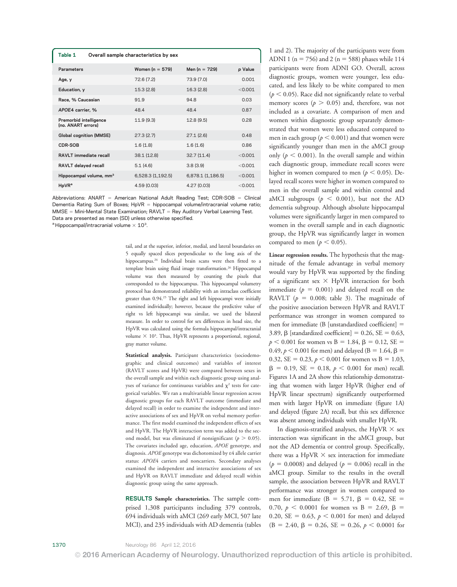| Overall sample characteristics by sex |                   |         |  |  |
|---------------------------------------|-------------------|---------|--|--|
| Women ( $n = 579$ )                   | Men ( $n = 729$ ) | p Value |  |  |
| 72.6 (7.2)                            | 73.9 (7.0)        | 0.001   |  |  |
| 15.3(2.8)                             | 16.3 (2.8)        | < 0.001 |  |  |
| 919                                   | 948               | 0.03    |  |  |
| 48.4                                  | 48.4              | 0.87    |  |  |
| 11.9(9.3)                             | 12.8 (9.5)        | 0.28    |  |  |
| 27.3(2.7)                             | 27.1(2.6)         | 0.48    |  |  |
| 1.6(1.8)                              | 1.6(1.6)          | 0.86    |  |  |
| 38.1 (12.8)                           | 32.7(11.4)        | < 0.001 |  |  |
| 5.1(4.6)                              | 3.8(3.9)          | < 0.001 |  |  |
| 6,528.3 (1,192.5)                     | 6,878.1 (1,186.5) | < 0.001 |  |  |
| 4.59 (0.03)                           | 4.27(0.03)        | < 0.001 |  |  |
|                                       |                   |         |  |  |

Abbreviations:  $ANART = American National Adult Reading Test; CDR-SOB = Clinical$ Dementia Rating Sum of Boxes;  $HpVR = hippocampal volume/intracranial volume ratio;$  $MMSE = Mini-Mental State Examination; RAVLT = Rey Auditory Verbal Learning Test.$ Data are presented as mean (SD) unless otherwise specified.

 $a$  Hippocampal/intracranial volume  $\times$  10<sup>3</sup>.

tail, and at the superior, inferior, medial, and lateral boundaries on 5 equally spaced slices perpendicular to the long axis of the hippocampus.<sup>26</sup> Individual brain scans were then fitted to a template brain using fluid image transformation.<sup>26</sup> Hippocampal volume was then measured by counting the pixels that corresponded to the hippocampus. This hippocampal volumetry protocol has demonstrated reliability with an intraclass coefficient greater than 0.94.<sup>25</sup> The right and left hippocampi were initially examined individually; however, because the predictive value of right vs left hippocampi was similar, we used the bilateral measure. In order to control for sex differences in head size, the HpVR was calculated using the formula hippocampal/intracranial volume  $\times$  10<sup>3</sup>. Thus, HpVR represents a proportional, regional, gray matter volume.

Statistical analysis. Participant characteristics (sociodemographic and clinical outcomes) and variables of interest (RAVLT scores and HpVR) were compared between sexes in the overall sample and within each diagnostic group using analyses of variance for continuous variables and  $\chi^2$  tests for categorical variables. We ran a multivariable linear regression across diagnostic groups for each RAVLT outcome (immediate and delayed recall) in order to examine the independent and interactive associations of sex and HpVR on verbal memory performance. The first model examined the independent effects of sex and HpVR. The HpVR interaction term was added to the second model, but was eliminated if nonsignificant ( $p > 0.05$ ). The covariates included age, education, APOE genotype, and diagnosis. APOE genotype was dichotomized by e4 allele carrier status: APOE4 carriers and noncarriers. Secondary analyses examined the independent and interactive associations of sex and HpVR on RAVLT immediate and delayed recall within diagnostic group using the same approach.

RESULTS Sample characteristics. The sample comprised 1,308 participants including 379 controls, 694 individuals with aMCI (269 early MCI, 507 late MCI), and 235 individuals with AD dementia (tables 1 and 2). The majority of the participants were from ADNI 1 ( $n = 756$ ) and 2 ( $n = 588$ ) phases while 114 participants were from ADNI GO. Overall, across diagnostic groups, women were younger, less educated, and less likely to be white compared to men  $(p < 0.05)$ . Race did not significantly relate to verbal memory scores ( $p > 0.05$ ) and, therefore, was not included as a covariate. A comparison of men and women within diagnostic group separately demonstrated that women were less educated compared to men in each group ( $p < 0.001$ ) and that women were significantly younger than men in the aMCI group only ( $p < 0.001$ ). In the overall sample and within each diagnostic group, immediate recall scores were higher in women compared to men ( $p < 0.05$ ). Delayed recall scores were higher in women compared to men in the overall sample and within control and aMCI subgroups ( $p < 0.001$ ), but not the AD dementia subgroup. Although absolute hippocampal volumes were significantly larger in men compared to women in the overall sample and in each diagnostic group, the HpVR was significantly larger in women compared to men ( $p < 0.05$ ).

Linear regression results. The hypothesis that the magnitude of the female advantage in verbal memory would vary by HpVR was supported by the finding of a significant sex  $\times$  HpVR interaction for both immediate ( $p = 0.001$ ) and delayed recall on the RAVLT ( $p = 0.008$ ; table 3). The magnitude of the positive association between HpVR and RAVLT performance was stronger in women compared to men for immediate (B [unstandardized coefficient]  $=$ 3.89,  $\beta$  [standardized coefficient] = 0.26, SE = 0.63,  $p < 0.001$  for women vs B = 1.84,  $\beta = 0.12$ , SE = 0.49,  $p < 0.001$  for men) and delayed (B = 1.64,  $\beta$  = 0.32, SE = 0.23,  $p < 0.001$  for women vs B = 1.03,  $\beta = 0.19$ , SE = 0.18,  $p < 0.001$  for men) recall. Figures 1A and 2A show this relationship demonstrating that women with larger HpVR (higher end of HpVR linear spectrum) significantly outperformed men with larger HpVR on immediate (figure 1A) and delayed (figure 2A) recall, but this sex difference was absent among individuals with smaller HpVR.

In diagnosis-stratified analyses, the HpVR  $\times$  sex interaction was significant in the aMCI group, but not the AD dementia or control group. Specifically, there was a HpVR  $\times$  sex interaction for immediate  $(p = 0.0008)$  and delayed  $(p = 0.006)$  recall in the aMCI group. Similar to the results in the overall sample, the association between HpVR and RAVLT performance was stronger in women compared to men for immediate (B = 5.71,  $\beta$  = 0.42, SE = 0.70,  $p \le 0.0001$  for women vs B = 2.69,  $\beta$  = 0.20, SE = 0.63,  $p < 0.001$  for men) and delayed  $(B = 2.40, \beta = 0.26, \text{ SE} = 0.26, \ p < 0.0001 \text{ for }$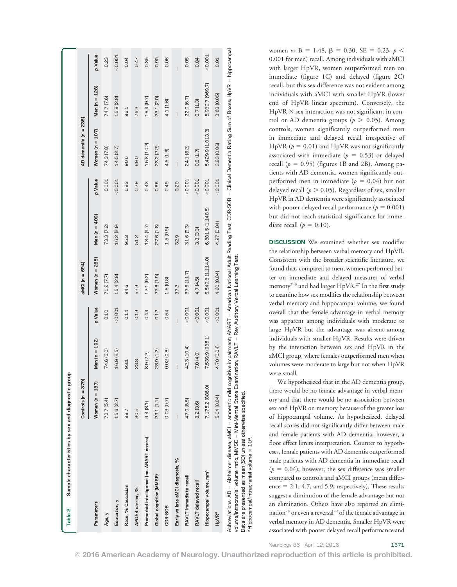| Table 2                             | Sample characteristics by sex and diagnostic group                                                                                                                                                  |                          |                          |                          |                     |                   |         |                          |                          |                          |
|-------------------------------------|-----------------------------------------------------------------------------------------------------------------------------------------------------------------------------------------------------|--------------------------|--------------------------|--------------------------|---------------------|-------------------|---------|--------------------------|--------------------------|--------------------------|
|                                     |                                                                                                                                                                                                     | Controls $(n = 379)$     |                          |                          | aMCI (n = 694)      |                   |         | AD dementia (n = 235)    |                          |                          |
| Parameters                          |                                                                                                                                                                                                     | Women $(n = 187)$        | $n = 192$<br>Men (       | p Value                  | Women ( $n = 285$ ) | Men (n = 409)     | p Value | Women $(n = 107)$        | Men ( $n = 128$ )        | p Value                  |
| Age, y                              |                                                                                                                                                                                                     | 73.7 (5.4)               | (6.0)<br>74.6            | 0.10                     | 71.2(7.7)           | 73.3 (7.2)        | 0.001   | 74.3 (7.8)               | 74.7 (7.6)               | 0.23                     |
| Education, y                        |                                                                                                                                                                                                     | 15.6 (2.7)               | (2.5)<br>16.9            | < 0.001                  | 15.4 (2.8)          | 16.2 (2.9)        | < 0.001 | 14.5 (2.7)               | 15.8 (2.8)               | < 0.001                  |
| Race, % Caucasian                   |                                                                                                                                                                                                     | 88.7                     | 93.1                     | 0.14                     | 94.6                | 95.3              | 0.83    | 90.6                     | 96.1                     | 0.04                     |
| APOE4 carrier, %                    |                                                                                                                                                                                                     | 30.5                     | 23.8                     | 0.13                     | 52.3                | 51.2              | 0.79    | 69.0                     | 76.3                     | 0.47                     |
|                                     | Premorbid intelligence (no. ANART errors)                                                                                                                                                           | 9.4(8.1)                 | ন<br>8.9 [7]             | 0.49                     | 12.1 (9.2)          | 13.4 (9.7)        | 0.43    | 15.8 (10.2)              | 16.9 (9.7)               | 0.35                     |
| Global cognition (MMSE)             |                                                                                                                                                                                                     | 29.1 (1.1)               | 28.9 (1.2)               | 0.12                     | 27.6 (1.9)          | 27.6 (1.8)        | 0.66    | 23.2 (2.2)               | 23.1 (2.0)               | 0.90                     |
| CDR-SOB                             |                                                                                                                                                                                                     | 0.03(0.7)                | (0.8)<br>0.02            | 0.54                     | 1.5(0.8)            | 1.5(0.9)          | 0.49    | 4.5(1.6)                 | 4.1 (1.6)                | 0.06                     |
|                                     | Early vs late aMCI diagnosis, %                                                                                                                                                                     | $\overline{\phantom{a}}$ | $\overline{\phantom{a}}$ | $\overline{\phantom{a}}$ | 37.3                | 32.9              | 0.20    | $\overline{\phantom{a}}$ | $\overline{\phantom{a}}$ | $\overline{\phantom{a}}$ |
| RAVLT immediate recall              |                                                                                                                                                                                                     | 47.0 (8.5)               | 42.3 (10.4)              | < 0.001                  | 37.5(11.7)          | 31.6 (9.3)        | < 0.001 | 24.1 (8.2)               | 22.0 (6.7)               | 0.05                     |
| RAVLT delayed recall                |                                                                                                                                                                                                     | 8.2 (3.6)                | ą<br>7.0 (4.             | 0.001                    | 4.7(4.5)            | 3.3(3.3)          | < 0.001 | 0.8(1.7)                 | 0.7(1.3)                 | 0.84                     |
| Hippocampal volume, mm <sup>3</sup> |                                                                                                                                                                                                     | 7,175.2 (886.0)          | (935.1)<br>7,539         | < 0.001                  | 6,549.8 (1,114.0)   | 6,881.5 (1,148.5) | < 0.001 | 5,429.9 (1,013.3)        | 5,930.7 (969.7)          | < 0.001                  |
| <b>HpVRª</b>                        |                                                                                                                                                                                                     | 5.04 (0.04)              | 4.70 (0.04)              | < 0.001                  | 4.60 (0.04)         | 4.27 (0.04)       | < 0.001 | 3.83 (0.06)              | 3.63 (0.05)              | 0.01                     |
|                                     | Abbreviations: AD = Alzheimer disease; aMCl = amnestic mild cognitive impairment; ANART = American National Adult Reading Test; CDR-SOB = Clinical Dementia Rating Sum of Boxes; HpVR = hippocampal |                          |                          |                          |                     |                   |         |                          |                          |                          |

women vs B = 1.48,  $\beta$  = 0.30, SE = 0.23,  $p$  < 0.001 for men) recall. Among individuals with aMCI with larger HpVR, women outperformed men on immediate (figure 1C) and delayed (figure 2C) recall, but this sex difference was not evident among individuals with aMCI with smaller HpVR (lower end of HpVR linear spectrum). Conversely, the  $HpVR \times$  sex interaction was not significant in control or AD dementia groups ( $p > 0.05$ ). Among controls, women significantly outperformed men in immediate and delayed recall irrespective of HpVR ( $p = 0.01$ ) and HpVR was not significantly associated with immediate ( $p = 0.53$ ) or delayed recall ( $p = 0.95$ ) (figures 1B and 2B). Among patients with AD dementia, women significantly outperformed men in immediate ( $p = 0.04$ ) but not delayed recall ( $p > 0.05$ ). Regardless of sex, smaller HpVR in AD dementia were significantly associated with poorer delayed recall performance ( $p = 0.001$ ) but did not reach statistical significance for immediate recall ( $p = 0.10$ ).

DISCUSSION We examined whether sex modifies the relationship between verbal memory and HpVR. Consistent with the broader scientific literature, we found that, compared to men, women performed better on immediate and delayed measures of verbal memory<sup>7-9</sup> and had larger HpVR.<sup>27</sup> In the first study to examine how sex modifies the relationship between verbal memory and hippocampal volume, we found overall that the female advantage in verbal memory was apparent among individuals with moderate to large HpVR but the advantage was absent among individuals with smaller HpVR. Results were driven by the interaction between sex and HpVR in the aMCI group, where females outperformed men when volumes were moderate to large but not when HpVR were small.

We hypothesized that in the AD dementia group, there would be no female advantage in verbal memory and that there would be no association between sex and HpVR on memory because of the greater loss of hippocampal volume. As hypothesized, delayed recall scores did not significantly differ between male and female patients with AD dementia; however, a floor effect limits interpretation. Counter to hypotheses, female patients with AD dementia outperformed male patients with AD dementia in immediate recall  $(p = 0.04)$ ; however, the sex difference was smaller compared to controls and aMCI groups (mean difference  $= 2.1, 4.7,$  and 5.9, respectively). These results suggest a diminution of the female advantage but not an elimination. Others have also reported an elimination<sup>28</sup> or even a reversal<sup>29</sup> of the female advantage in verbal memory in AD dementia. Smaller HpVR were associated with poorer delayed recall performance and

Neurology 86 April 12, 2016 1371

Data are presented as mean (SD) unless otherwise specified.

Data are presented as mean (SD) unless otherwise specified.

 $a$ Hippocampal/intracranial volume  $\times$  10<sup>3</sup>  $^{\text{a}}$ Hippocampal/intracranial volume  $\times$  103.

volume/intracranial volume ratio; MMSE = Mini-Mental State Examination; RAVLT = Rey Auditory Verbal Learning Test.

volume/intracranial volume ratio; MMSE = Mini-Mental State Examination; RAVLT = Rey Auditory Verbal Learning Test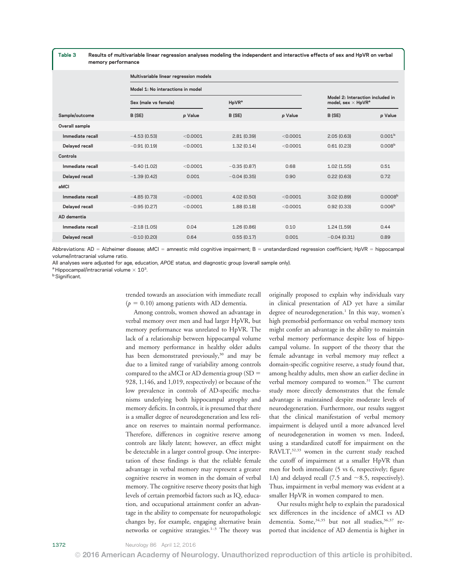Table 3 Results of multivariable linear regression analyses modeling the independent and interactive effects of sex and HpVR on verbal memory performance

|                  | Multivariable linear regression models |          |                                |          |                                                                           |                     |  |
|------------------|----------------------------------------|----------|--------------------------------|----------|---------------------------------------------------------------------------|---------------------|--|
|                  | Model 1: No interactions in model      |          |                                |          |                                                                           |                     |  |
|                  | Sex (male vs female)                   |          | H <sub>p</sub> VR <sup>a</sup> |          | Model 2: Interaction included in<br>model, sex $\times$ HpVR <sup>a</sup> |                     |  |
| Sample/outcome   | B (SE)                                 | p Value  | B (SE)                         | p Value  | B (SE)                                                                    | p Value             |  |
| Overall sample   |                                        |          |                                |          |                                                                           |                     |  |
| Immediate recall | $-4.53(0.53)$                          | < 0.0001 | 2.81(0.39)                     | < 0.0001 | 2.05(0.63)                                                                | 0.001 <sup>b</sup>  |  |
| Delayed recall   | $-0.91(0.19)$                          | < 0.0001 | 1.32(0.14)                     | < 0.0001 | 0.61(0.23)                                                                | 0.008 <sup>b</sup>  |  |
| Controls         |                                        |          |                                |          |                                                                           |                     |  |
| Immediate recall | $-5.40(1.02)$                          | < 0.0001 | $-0.35(0.87)$                  | 0.68     | 1.02(1.55)                                                                | 0.51                |  |
| Delayed recall   | $-1.39(0.42)$                          | 0.001    | $-0.04(0.35)$                  | 0.90     | 0.22(0.63)                                                                | 0.72                |  |
| aMCI             |                                        |          |                                |          |                                                                           |                     |  |
| Immediate recall | $-4.85(0.73)$                          | < 0.0001 | 4.02(0.50)                     | < 0.0001 | 3.02(0.89)                                                                | 0.0008 <sup>b</sup> |  |
| Delayed recall   | $-0.95(0.27)$                          | < 0.0001 | 1.88(0.18)                     | < 0.0001 | 0.92(0.33)                                                                | 0.006 <sup>b</sup>  |  |
| AD dementia      |                                        |          |                                |          |                                                                           |                     |  |
| Immediate recall | $-2.18(1.05)$                          | 0.04     | 1.26(0.86)                     | 0.10     | 1.24(1.59)                                                                | 0.44                |  |
| Delayed recall   | $-0.10(0.20)$                          | 0.64     | 0.55(0.17)                     | 0.001    | $-0.04(0.31)$                                                             | 0.89                |  |
|                  |                                        |          |                                |          |                                                                           |                     |  |

Abbreviations: AD = Alzheimer disease; aMCI = amnestic mild cognitive impairment; B = unstandardized regression coefficient; HpVR = hippocampal volume/intracranial volume ratio.

All analyses were adjusted for age, education, APOE status, and diagnostic group (overall sample only).

 $a$  Hippocampal/intracranial volume  $\times$  10<sup>3</sup>.

<sup>b</sup> Significant.

trended towards an association with immediate recall  $(p = 0.10)$  among patients with AD dementia.

Among controls, women showed an advantage in verbal memory over men and had larger HpVR, but memory performance was unrelated to HpVR. The lack of a relationship between hippocampal volume and memory performance in healthy older adults has been demonstrated previously,<sup>30</sup> and may be due to a limited range of variability among controls compared to the aMCI or AD dementia group  $(SD =$ 928, 1,146, and 1,019, respectively) or because of the low prevalence in controls of AD-specific mechanisms underlying both hippocampal atrophy and memory deficits. In controls, it is presumed that there is a smaller degree of neurodegeneration and less reliance on reserves to maintain normal performance. Therefore, differences in cognitive reserve among controls are likely latent; however, an effect might be detectable in a larger control group. One interpretation of these findings is that the reliable female advantage in verbal memory may represent a greater cognitive reserve in women in the domain of verbal memory. The cognitive reserve theory posits that high levels of certain premorbid factors such as IQ, education, and occupational attainment confer an advantage in the ability to compensate for neuropathologic changes by, for example, engaging alternative brain networks or cognitive strategies.<sup>1-3</sup> The theory was

originally proposed to explain why individuals vary in clinical presentation of AD yet have a similar degree of neurodegeneration.<sup>1</sup> In this way, women's high premorbid performance on verbal memory tests might confer an advantage in the ability to maintain verbal memory performance despite loss of hippocampal volume. In support of the theory that the female advantage in verbal memory may reflect a domain-specific cognitive reserve, a study found that, among healthy adults, men show an earlier decline in verbal memory compared to women.<sup>31</sup> The current study more directly demonstrates that the female advantage is maintained despite moderate levels of neurodegeneration. Furthermore, our results suggest that the clinical manifestation of verbal memory impairment is delayed until a more advanced level of neurodegeneration in women vs men. Indeed, using a standardized cutoff for impairment on the RAVLT,32,33 women in the current study reached the cutoff of impairment at a smaller HpVR than men for both immediate (5 vs 6, respectively; figure 1A) and delayed recall (7.5 and  $\sim$ 8.5, respectively). Thus, impairment in verbal memory was evident at a smaller HpVR in women compared to men.

Our results might help to explain the paradoxical sex differences in the incidence of aMCI vs AD dementia. Some,<sup>34,35</sup> but not all studies,<sup>36,37</sup> reported that incidence of AD dementia is higher in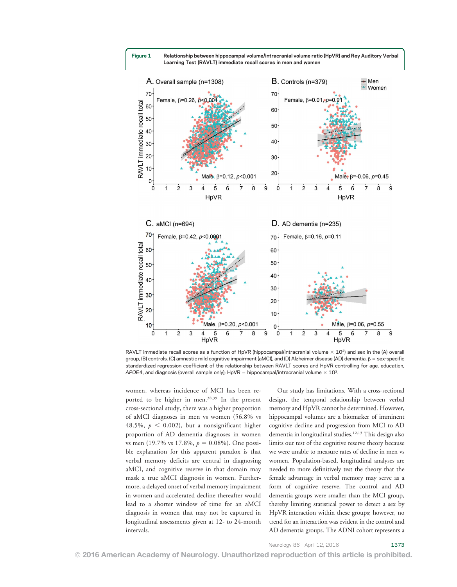

RAVLT immediate recall scores as a function of HpVR (hippocampal/intracranial volume  $\times$  10<sup>3</sup>) and sex in the (A) overall group, (B) controls, (C) amnestic mild cognitive impairment (aMCI), and (D) Alzheimer disease (AD) dementia.  $\beta$  = sex-specific standardized regression coefficient of the relationship between RAVLT scores and HpVR controlling for age, education, APOE4, and diagnosis (overall sample only); HpVR = hippocampal/intracranial volume  $\times$  10<sup>3</sup>.

women, whereas incidence of MCI has been reported to be higher in men.38,39 In the present cross-sectional study, there was a higher proportion of aMCI diagnoses in men vs women (56.8% vs 48.5%,  $p < 0.002$ ), but a nonsignificant higher proportion of AD dementia diagnoses in women vs men (19.7% vs 17.8%,  $p = 0.08\%$ ). One possible explanation for this apparent paradox is that verbal memory deficits are central in diagnosing aMCI, and cognitive reserve in that domain may mask a true aMCI diagnosis in women. Furthermore, a delayed onset of verbal memory impairment in women and accelerated decline thereafter would lead to a shorter window of time for an aMCI diagnosis in women that may not be captured in longitudinal assessments given at 12- to 24-month intervals.

Our study has limitations. With a cross-sectional design, the temporal relationship between verbal memory and HpVR cannot be determined. However, hippocampal volumes are a biomarker of imminent cognitive decline and progression from MCI to AD dementia in longitudinal studies.12,13 This design also limits our test of the cognitive reserve theory because we were unable to measure rates of decline in men vs women. Population-based, longitudinal analyses are needed to more definitively test the theory that the female advantage in verbal memory may serve as a form of cognitive reserve. The control and AD dementia groups were smaller than the MCI group, thereby limiting statistical power to detect a sex by HpVR interaction within these groups; however, no trend for an interaction was evident in the control and AD dementia groups. The ADNI cohort represents a

Neurology 86 April 12, 2016 1373

# © 2016 American Academy of Neurology. Unauthorized reproduction of this article is prohibited.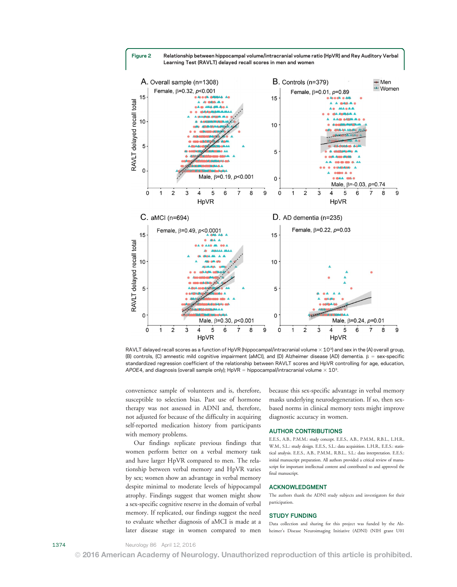



RAVLT delayed recall scores as a function of HpVR (hippocampal/intracranial volume  $\times$  10<sup>3</sup>) and sex in the (A) overall group, (B) controls, (C) amnestic mild cognitive impairment (aMCI), and (D) Alzheimer disease (AD) dementia.  $\beta$  = sex-specific standardized regression coefficient of the relationship between RAVLT scores and HpVR controlling for age, education, APOE4, and diagnosis (overall sample only);  $HpVR = hippocampal/intracranial volume \times 10<sup>3</sup>$ .

convenience sample of volunteers and is, therefore, susceptible to selection bias. Past use of hormone therapy was not assessed in ADNI and, therefore, not adjusted for because of the difficulty in acquiring self-reported medication history from participants with memory problems.

Our findings replicate previous findings that women perform better on a verbal memory task and have larger HpVR compared to men. The relationship between verbal memory and HpVR varies by sex; women show an advantage in verbal memory despite minimal to moderate levels of hippocampal atrophy. Findings suggest that women might show a sex-specific cognitive reserve in the domain of verbal memory. If replicated, our findings suggest the need to evaluate whether diagnosis of aMCI is made at a later disease stage in women compared to men

because this sex-specific advantage in verbal memory masks underlying neurodegeneration. If so, then sexbased norms in clinical memory tests might improve diagnostic accuracy in women.

### AUTHOR CONTRIBUTIONS

E.E.S., A.B., P.M.M.: study concept. E.E.S., A.B., P.M.M., R.B.L., L.H.R., W.M., S.L.: study design. E.E.S., S.L.: data acquisition. L.H.R., E.E.S.: statistical analysis. E.E.S., A.B., P.M.M., R.B.L., S.L.: data interpretation. E.E.S.: initial manuscript preparation. All authors provided a critical review of manuscript for important intellectual content and contributed to and approved the final manuscript.

#### ACKNOWLEDGMENT

The authors thank the ADNI study subjects and investigators for their participation.

#### STUDY FUNDING

Data collection and sharing for this project was funded by the Alzheimer's Disease Neuroimaging Initiative (ADNI) (NIH grant U01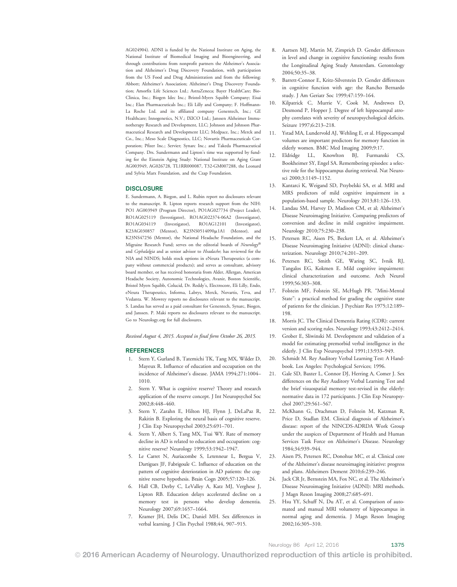AG024904). ADNI is funded by the National Institute on Aging, the National Institute of Biomedical Imaging and Bioengineering, and through contributions from nonprofit partners the Alzheimer's Association and Alzheimer's Drug Discovery Foundation, with participation from the US Food and Drug Administration and from the following: Abbott; Alzheimer's Association; Alzheimer's Drug Discovery Foundation; Amorfix Life Sciences Ltd.; AstraZeneca; Bayer HealthCare; Bio-Clinica, Inc.; Biogen Idec Inc.; Bristol-Myers Squibb Company; Eisai Inc.; Elan Pharmaceuticals Inc.; Eli Lilly and Company; F. Hoffmann-La Roche Ltd. and its affiliated company Genentech, Inc.; GE Healthcare; Innogenetics, N.V.; IXICO Ltd.; Janssen Alzheimer Immunotherapy Research and Development, LLC; Johnson and Johnson Pharmaceutical Research and Development LLC; Medpace, Inc.; Merck and Co., Inc.; Meso Scale Diagnostics, LLC; Novartis Pharmaceuticals Corporation; Pfizer Inc.; Servier; Synarc Inc.; and Takeda Pharmaceutical Company. Drs. Sundermann and Lipton's time was supported by funding for the Einstein Aging Study: National Institute on Aging Grant AG003949, AG026728, TL1RR000087, T32-GM007288, the Leonard and Sylvia Marx Foundation, and the Czap Foundation.

# **DISCLOSURE**

E. Sundermann, A. Biegon, and L. Rubin report no disclosures relevant to the manuscript. R. Lipton reports research support from the NIH: PO1 AG003949 (Program Director), PO1AG027734 (Project Leader), RO1AG025119 (Investigator), RO1AG022374-06A2 (Investigator), RO1AG034119 (Investigator), RO1AG12101 (Investigator), K23AG030857 (Mentor), K23NS0514090µ1A1 (Mentor), and K23NS47256 (Mentor), the National Headache Foundation, and the Migraine Research Fund; serves on the editorial boards of Neurology® and Cephalalgia and as senior advisor to Headache; has reviewed for the NIA and NINDS; holds stock options in eNeura Therapeutics (a company without commercial products); and serves as consultant, advisory board member, or has received honoraria from Alder, Allergan, American Headache Society, Autonomic Technologies, Avanir, Boston Scientific, Bristol Myers Squibb, Colucid, Dr. Reddy's, Electrocore, Eli Lilly, Endo, eNeura Therapeutics, Informa, Labrys, Merck, Novartis, Teva, and Vedanta. W. Mowrey reports no disclosures relevant to the manuscript. S. Landau has served as a paid consultant for Genentech, Synarc, Biogen, and Janssen. P. Maki reports no disclosures relevant to the manuscript. Go to [Neurology.org](http://neurology.org/lookup/doi/10.1212/WNL.0000000000002570) for full disclosures.

Received August 4, 2015. Accepted in final form October 26, 2015.

#### REFERENCES

- 1. Stern Y, Gurland B, Tatemichi TK, Tang MX, Wilder D, Mayeux R. Influence of education and occupation on the incidence of Alzheimer's disease. JAMA 1994;271:1004– 1010.
- 2. Stern Y. What is cognitive reserve? Theory and research application of the reserve concept. J Int Neuropsychol Soc 2002;8:448–460.
- 3. Stern Y, Zarahn E, Hilton HJ, Flynn J, DeLaPaz R, Rakitin B. Exploring the neural basis of cognitive reserve. J Clin Exp Neuropsychol 2003;25:691–701.
- 4. Stern Y, Albert S, Tang MX, Tsai WY. Rate of memory decline in AD is related to education and occupation: cognitive reserve? Neurology 1999;53:1942–1947.
- 5. Le Carret N, Auriacombe S, Letenneur L, Bergua V, Dartigues JF, Fabrigoule C. Influence of education on the pattern of cognitive deterioration in AD patients: the cognitive reserve hypothesis. Brain Cogn 2005;57:120–126.
- 6. Hall CB, Derby C, LeValley A, Katz MJ, Verghese J, Lipton RB. Education delays accelerated decline on a memory test in persons who develop dementia. Neurology 2007;69:1657–1664.
- 7. Kramer JH, Delis DC, Daniel MH. Sex differences in verbal learning. J Clin Psychol 1988;44, 907–915.
- 8. Aartsen MJ, Martin M, Zimprich D. Gender differences in level and change in cognitive functioning: results from the Longitudinal Aging Study Amsterdam. Gerontology 2004;50:35–38.
- 9. Barrett-Connor E, Kritz-Silverstein D. Gender differences in cognitive function with age: the Rancho Bernardo study. J Am Geriatr Soc 1999;47:159–164.
- 10. Kilpatrick C, Murrie V, Cook M, Andrewes D, Desmond P, Hopper J. Degree of left hippocampal atrophy correlates with severity of neuropsychological deficits. Seizure 1997;6:213–218.
- 11. Ystad MA, Lundervold AJ, Wehling E, et al. Hippocampal volumes are important predictors for memory function in elderly women. BMC Med Imaging 2009;9:17.
- 12. Eldridge LL, Knowlton BJ, Furmanski CS, Bookheimer SY, Engel SA. Remembering episodes: a selective role for the hippocampus during retrieval. Nat Neurosci 2000;3:1149–1152.
- 13. Kantarci K, Weigand SD, Przybelski SA, et al. MRI and MRS predictors of mild cognitive impairment in a population-based sample. Neurology 2013;81:126–133.
- 14. Landau SM, Harvey D, Madison CM, et al; Alzheimer's Disease Neuroimaging Initiative. Comparing predictors of conversion and decline in mild cognitive impairment. Neurology 2010;75:230–238.
- 15. Petersen RC, Aisen PS, Beckett LA, et al. Alzheimer's Disease Neuroimaging Initiative (ADNI): clinical characterization. Neurology 2010;74:201–209.
- 16. Petersen RC, Smith GE, Waring SC, Ivnik RJ, Tangalos EG, Kokmen E. Mild cognitive impairment: clinical characterization and outcome. Arch Neurol 1999;56:303–308.
- 17. Folstein MF, Folstein SE, McHugh PR. "Mini-Mental State": a practical method for grading the cognitive state of patients for the clinician. J Psychiatr Res 1975;12:189– 198.
- 18. Morris JC. The Clinical Dementia Rating (CDR): current version and scoring rules. Neurology 1993;43:2412–2414.
- 19. Grober E, Sliwinski M. Development and validation of a model for estimating premorbid verbal intelligence in the elderly. J Clin Exp Neuropsychol 1991;13:933–949.
- 20. Schmidt M. Rey Auditory Verbal Learning Test: A Handbook. Los Angeles: Psychological Services; 1996.
- 21. Gale SD, Baxter L, Connor DJ, Herring A, Comer J. Sex differences on the Rey Auditory Verbal Learning Test and the brief visuospatial memory test-revised in the elderly: normative data in 172 participants. J Clin Exp Neuropsychol 2007;29:561–567.
- 22. McKhann G, Drachman D, Folstein M, Katzman R, Price D, Stadlan EM. Clinical diagnosis of Alzheimer's disease: report of the NINCDS-ADRDA Work Group under the auspices of Department of Health and Human Services Task Force on Alzheimer's Disease. Neurology 1984;34:939–944.
- 23. Aisen PS, Petersen RC, Donohue MC, et al. Clinical core of the Alzheimer's disease neuroimaging initiative: progress and plans. Alzheimers Dement 2010;6:239–246.
- 24. Jack CR Jr, Bernstein MA, Fox NC, et al. The Alzheimer's Disease Neuroimaging Initiative (ADNI): MRI methods. J Magn Reson Imaging 2008;27:685–691.
- 25. Hsu YY, Schuff N, Du AT, et al. Comparison of automated and manual MRI volumetry of hippocampus in normal aging and dementia. J Magn Reson Imaging 2002;16:305–310.